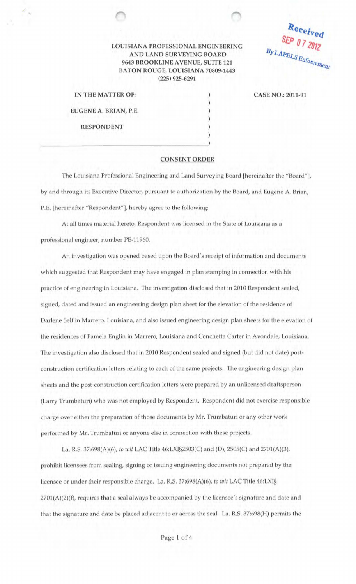## LOUISIANA PROFESSIONAL ENGINEERING AND LAND SURVEYING BOARD 9643 BROOKLINE A VENUE, SUITE 121 BATON ROUGE, LOUISIANA 70809-1443 (225) 925-6291

Received By LAPELS Enforcement

| IN THE MATTER OF:                                        |  |
|----------------------------------------------------------|--|
| EUGENE A. BRIAN, P.E.                                    |  |
| <b>SEA THE FURNISHER CONTRACTOR</b><br><b>RESPONDENT</b> |  |

...

## CASE NO.: 2011-91

## **CONSENT ORDER**

) ) ) ) ) )

The Louisiana Professional Engineering and Land Surveying Board [hereinafter the "Board"], by and through its Executive Director, pursuant to authorization by the Board, and Eugene A. Brian, P.E. [hereinafter "Respondent"], hereby agree to the following:

At all times material hereto, Respondent was licensed in the State of Louisiana as a professional engineer, number PE-11960.

An investigation was opened based upon the Board's receipt of information and documents which suggested that Respondent may have engaged in plan stamping in connection with his practice of engineering in Louisiana. The investigation disclosed that in 2010 Respondent sealed, signed, dated and issued an engineering design plan sheet for the elevation of the residence of Darlene Self in Marrero, Louisiana, and also issued engineering design plan sheets for the elevation of the residences of Pamela Englin in Marrero, Louisiana and Conchetta Carter in Avondale, Louisiana. The investigation also disclosed that in 2010 Respondent sealed and signed (but did not date) postconstruction certification letters relating to each of the same projects. The engineering design plan sheets and the post-construction certification letters were prepared by an unlicensed draftsperson (Larry Trumbaturi) who was not employed by Respondent. Respondent did not exercise responsible charge over either the preparation of those documents by Mr. Trumbaturi or any other work performed by Mr. Trumbaturi or anyone else in connection with these projects.

La. R.S. 37:698(A)(6), *to wit* LAC Title 46:LXI§2503(C) and (D), 2505(C) and 2701(A)(3), prohibit licensees from sealing, signing or issuing engineering documents not prepared by the licensee or under their responsible charge. La. R.S. 37:698(A)(6), *to wit* LAC Title 46:LXI§  $2701(A)(2)(f)$ , requires that a seal always be accompanied by the licensee's signature and date and that the signature and date be placed adjacent to or across the seal. La. R.S. 37:698(H) permits the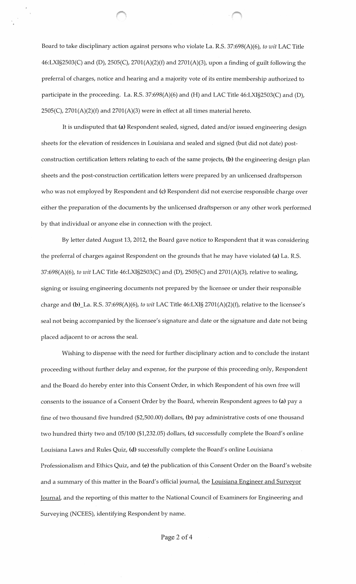Board to take disciplinary action against persons who violate La. R.S. 37:698(A)(6), *to wit* LAC Title 46:LXI§2503(C) and (D), 2505(C), 2701(A)(2)(f) and 2701(A)(3), upon a finding of guilt following the preferral of charges, notice and hearing and a majority vote of its entire membership authorized to participate in the proceeding. La. R.S. 37:698(A)(6) and (H) and LAC Title 46:LXI§2503(C) and (D), 2505(C), 2701(A)(2)(f) and 2701(A)(3) were in effect at all times material hereto.

It is undisputed that **(a)** Respondent sealed, signed, dated and/or issued engineering design sheets for the elevation of residences in Louisiana and sealed and signed (but did not date) postconstruction certification letters relating to each of the same projects, **(b)** the engineering design plan sheets and the post-construction certification letters were prepared by an unlicensed draftsperson who was not employed by Respondent and **(c)** Respondent did not exercise responsible charge over either the preparation of the documents by the unlicensed draftsperson or any other work performed by that individual or anyone else in connection with the project.

By letter dated August 13, 2012, the Board gave notice to Respondent that it was considering the preferral of charges against Respondent on the grounds that he may have violated **(a)** La. R.S. 37:698(A)(6), *to wit* LAC Title 46:LXI§2503(C) and **(D),** 2505(C) and 2701(A)(3), relative to sealing, signing or issuing engineering documents not prepared by the licensee or under their responsible charge and (b)\_La. R.S. 37:698(A)(6), *to wit* LAC Title 46:LXI§ 2701(A)(2)(f), relative to the licensee's seal not being accompanied by the licensee's signature and date or the signature and date not being placed adjacent to or across the seal.

Wishing to dispense with the need for further disciplinary action and to conclude the instant proceeding without further delay and expense, for the purpose of this proceeding only, Respondent and the Board do hereby enter into this Consent Order, in which Respondent of his own free will consents to the issuance of a Consent Order by the Board, wherein Respondent agrees to **(a)** pay a fine of two thousand five hundred (\$2,500.00) dollars, **(b)** pay administrative costs of one thousand two hundred thirty two and 05/100 (\$1,232.05) dollars, (c) successfully complete the Board's online Louisiana Laws and Rules Quiz, **(d)** successfully complete the Board's online Louisiana Professionalism and Ethics Quiz, and (e) the publication of this Consent Order on the Board's website and a summary of this matter in the Board's official journal, the Louisiana Engineer and Surveyor Journal, and the reporting of this matter to the National Council of Examiners for Engineering and Surveying (NCEES), identifying Respondent by name.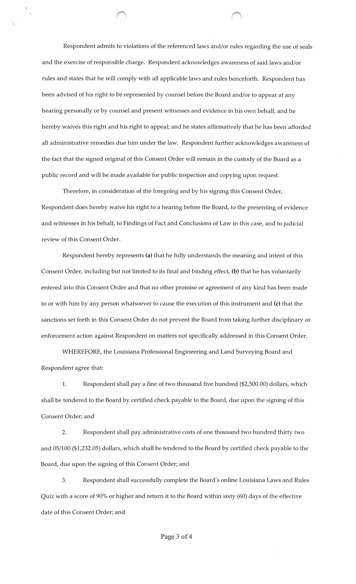Respondent admits to violations of the referenced laws and/or rules regarding the use of seals and the exercise of responsible charge. Respondent acknowledges awareness of said laws and/or rules and states that he will comply with all applicable laws and rules henceforth. Respondent has been advised of his right to be represented by counsel before the Board and/or to appear at any hearing personally or by counsel and present witnesses and evidence in his own behalf, and he hereby waives this right and his right to appeal; and he states affirmatively that he has been afforded all administrative remedies due him under the law. Respondent further acknowledges awareness of the fact that the signed original of this Consent Order will remain in the custody of the Board as a public record and will be made available for public inspection and copying upon request.

Therefore, in consideration of the foregoing and by his signing this Consent Order, Respondent does hereby waive his right to a hearing before the Board, to the presenting of evidence and witnesses in his behalf, to Findings of Fact and Conclusions of Law in this case, and to judicial review of this Consent Order.

Respondent hereby represents (a) that he fully understands the meaning and intent of this Consent Order, including but not limited to its final and binding effect, (b) that he has voluntarily entered into this Consent Order and that no other promise or agreement of any kind has been made to or with him by any person whatsoever to cause the execution of this instrument and (c) that the sanctions set forth in this Consent Order do not prevent the Board from taking further disciplinary or enforcement action against Respondent on matters not specifically addressed in this Consent Order.

WHEREFORE, the Louisiana Professional Engineering and Land Surveying Board and Respondent agree that:

1. Respondent shall pay a fine of two thousand five hundred (\$2,500.00) dollars, which shall be tendered to the Board by certified check payable to the Board, due upon the signing of this Consent Order; and

2. Respondent shall pay administrative costs of one thousand two hundred thirty two and 05/100 (\$1,232.05) dollars, which shall be tendered to the Board by certified check payable to the Board, due upon the signing of this Consent Order; and

3. Respondent shall successfully complete the Board's online Louisiana Laws and Rules Quiz with a score of 90% or higher and return it to the Board within sixty (60) days of the effective date of this Consent Order; and